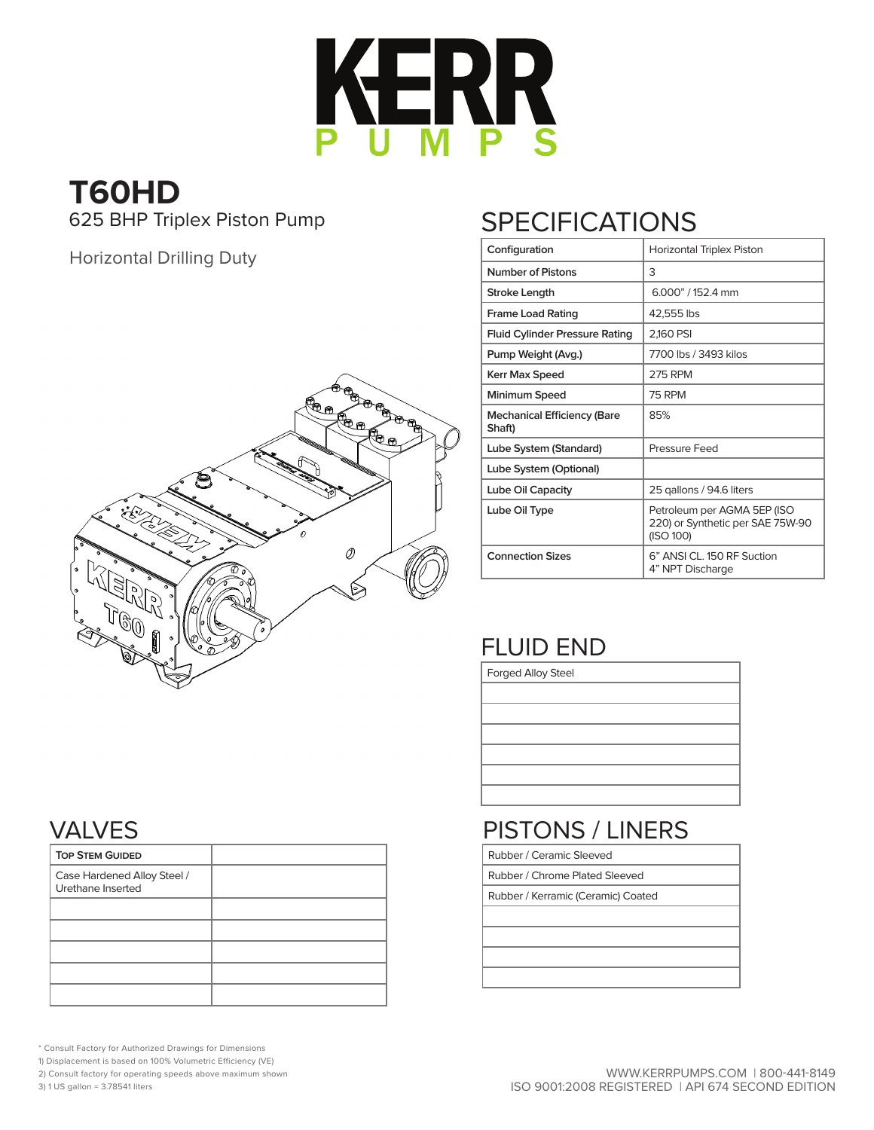

## **T60HD** 625 BHP Triplex Piston Pump

Horizontal Drilling Duty



# **SPECIFICATIONS**

| Configuration                                | Horizontal Triplex Piston                                                    |  |  |  |  |  |  |
|----------------------------------------------|------------------------------------------------------------------------------|--|--|--|--|--|--|
| <b>Number of Pistons</b>                     | 3                                                                            |  |  |  |  |  |  |
| Stroke Length                                | $6.000$ " / 152.4 mm                                                         |  |  |  |  |  |  |
| <b>Frame Load Rating</b>                     | 42,555 lbs                                                                   |  |  |  |  |  |  |
| <b>Fluid Cylinder Pressure Rating</b>        | 2,160 PSI                                                                    |  |  |  |  |  |  |
| Pump Weight (Avg.)                           | 7700 lbs / 3493 kilos                                                        |  |  |  |  |  |  |
| Kerr Max Speed                               | <b>275 RPM</b>                                                               |  |  |  |  |  |  |
| Minimum Speed                                | 75 RPM                                                                       |  |  |  |  |  |  |
| <b>Mechanical Efficiency (Bare</b><br>Shaft) | 85%                                                                          |  |  |  |  |  |  |
| Lube System (Standard)                       | Pressure Feed                                                                |  |  |  |  |  |  |
| Lube System (Optional)                       |                                                                              |  |  |  |  |  |  |
| Lube Oil Capacity                            | 25 gallons / 94.6 liters                                                     |  |  |  |  |  |  |
| Lube Oil Type                                | Petroleum per AGMA 5EP (ISO<br>220) or Synthetic per SAE 75W-90<br>(ISO 100) |  |  |  |  |  |  |
| <b>Connection Sizes</b>                      | 6" ANSI CL. 150 RF Suction<br>4" NPT Discharge                               |  |  |  |  |  |  |

## FLUID END

Forged Alloy Steel

## PISTONS / LINERS

Rubber / Ceramic Sleeved

Rubber / Chrome Plated Sleeved

Rubber / Kerramic (Ceramic) Coated

#### VALVES

| <b>TOP STEM GUIDED</b>                           |  |
|--------------------------------------------------|--|
| Case Hardened Alloy Steel /<br>Urethane Inserted |  |
|                                                  |  |
|                                                  |  |
|                                                  |  |
|                                                  |  |
|                                                  |  |

\* Consult Factory for Authorized Drawings for Dimensions

1) Displacement is based on 100% Volumetric Efficiency (VE)

2) Consult factory for operating speeds above maximum shown

3) 1 US gallon = 3.78541 liters